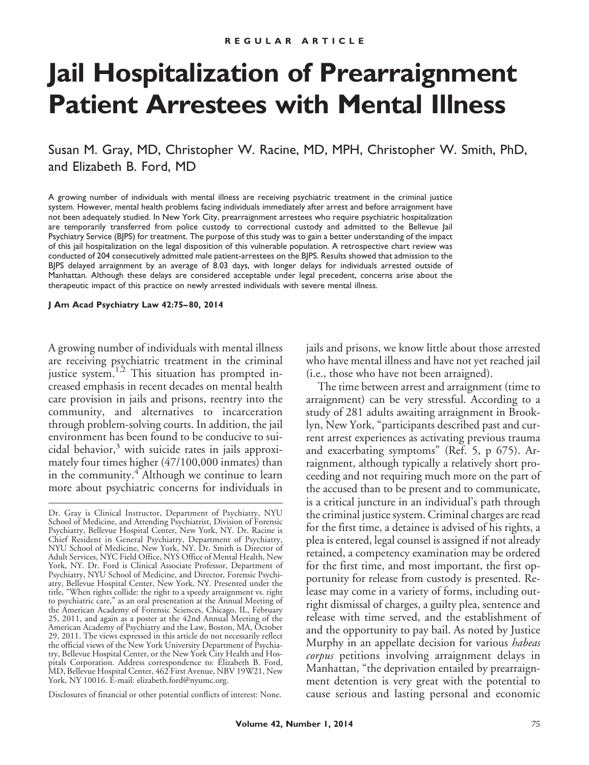# **Jail Hospitalization of Prearraignment Patient Arrestees with Mental Illness**

Susan M. Gray, MD, Christopher W. Racine, MD, MPH, Christopher W. Smith, PhD, and Elizabeth B. Ford, MD

A growing number of individuals with mental illness are receiving psychiatric treatment in the criminal justice system. However, mental health problems facing individuals immediately after arrest and before arraignment have not been adequately studied. In New York City, prearraignment arrestees who require psychiatric hospitalization are temporarily transferred from police custody to correctional custody and admitted to the Bellevue Jail Psychiatry Service (BJPS) for treatment. The purpose of this study was to gain a better understanding of the impact of this jail hospitalization on the legal disposition of this vulnerable population. A retrospective chart review was conducted of 204 consecutively admitted male patient-arrestees on the BJPS. Results showed that admission to the BJPS delayed arraignment by an average of 8.03 days, with longer delays for individuals arrested outside of Manhattan. Although these delays are considered acceptable under legal precedent, concerns arise about the therapeutic impact of this practice on newly arrested individuals with severe mental illness.

**J Am Acad Psychiatry Law 42:75– 80, 2014**

A growing number of individuals with mental illness are receiving psychiatric treatment in the criminal justice system.1,2 This situation has prompted increased emphasis in recent decades on mental health care provision in jails and prisons, reentry into the community, and alternatives to incarceration through problem-solving courts. In addition, the jail environment has been found to be conducive to suicidal behavior, $3$  with suicide rates in jails approximately four times higher (47/100,000 inmates) than in the community.<sup>4</sup> Although we continue to learn more about psychiatric concerns for individuals in

Disclosures of financial or other potential conflicts of interest: None.

jails and prisons, we know little about those arrested who have mental illness and have not yet reached jail (i.e., those who have not been arraigned).

The time between arrest and arraignment (time to arraignment) can be very stressful. According to a study of 281 adults awaiting arraignment in Brooklyn, New York, "participants described past and current arrest experiences as activating previous trauma and exacerbating symptoms" (Ref. 5, p 675). Arraignment, although typically a relatively short proceeding and not requiring much more on the part of the accused than to be present and to communicate, is a critical juncture in an individual's path through the criminal justice system. Criminal charges are read for the first time, a detainee is advised of his rights, a plea is entered, legal counsel is assigned if not already retained, a competency examination may be ordered for the first time, and most important, the first opportunity for release from custody is presented. Release may come in a variety of forms, including outright dismissal of charges, a guilty plea, sentence and release with time served, and the establishment of and the opportunity to pay bail. As noted by Justice Murphy in an appellate decision for various *habeas corpus* petitions involving arraignment delays in Manhattan, "the deprivation entailed by prearraignment detention is very great with the potential to cause serious and lasting personal and economic

Dr. Gray is Clinical Instructor, Department of Psychiatry, NYU School of Medicine, and Attending Psychiatrist, Division of Forensic Psychiatry, Bellevue Hospital Center, New York, NY. Dr. Racine is Chief Resident in General Psychiatry, Department of Psychiatry, NYU School of Medicine, New York, NY. Dr. Smith is Director of Adult Services, NYC Field Office, NYS Office of Mental Health, New York, NY. Dr. Ford is Clinical Associate Professor, Department of Psychiatry, NYU School of Medicine, and Director, Forensic Psychiatry, Bellevue Hospital Center, New York, NY. Presented under the title, "When rights collide: the right to a speedy arraignment vs. right to psychiatric care," as an oral presentation at the Annual Meeting of the American Academy of Forensic Sciences, Chicago, IL, February 25, 2011, and again as a poster at the 42nd Annual Meeting of the American Academy of Psychiatry and the Law, Boston, MA, October 29, 2011. The views expressed in this article do not necessarily reflect the official views of the New York University Department of Psychiatry, Bellevue Hospital Center, or the New York City Health and Hospitals Corporation. Address correspondence to: Elizabeth B. Ford, MD, Bellevue Hospital Center, 462 First Avenue, NBV 19W21, New York, NY 10016. E-mail: elizabeth.ford@nyumc.org.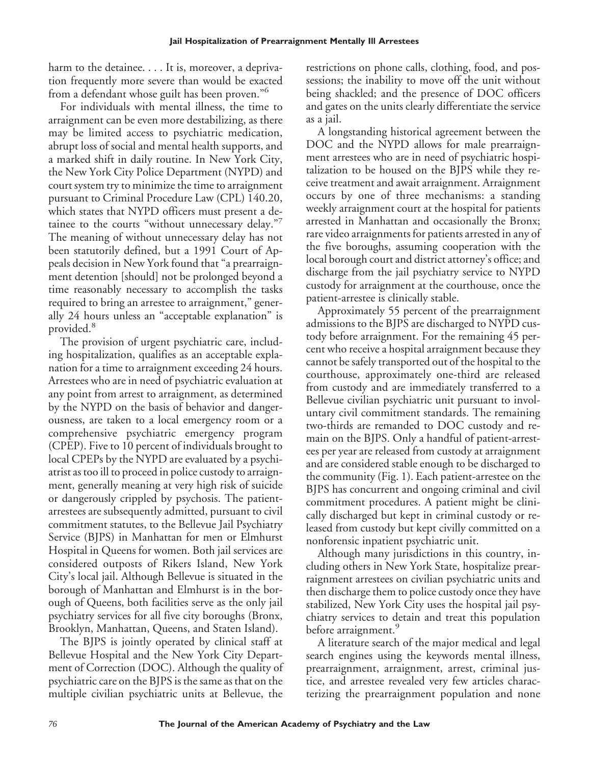harm to the detainee. . . . It is, moreover, a deprivation frequently more severe than would be exacted from a defendant whose guilt has been proven."<sup>6</sup>

For individuals with mental illness, the time to arraignment can be even more destabilizing, as there may be limited access to psychiatric medication, abrupt loss of social and mental health supports, and a marked shift in daily routine. In New York City, the New York City Police Department (NYPD) and court system try to minimize the time to arraignment pursuant to Criminal Procedure Law (CPL) 140.20, which states that NYPD officers must present a detainee to the courts "without unnecessary delay." The meaning of without unnecessary delay has not been statutorily defined, but a 1991 Court of Appeals decision in New York found that "a prearraignment detention [should] not be prolonged beyond a time reasonably necessary to accomplish the tasks required to bring an arrestee to arraignment," generally 24 hours unless an "acceptable explanation" is provided.<sup>8</sup>

The provision of urgent psychiatric care, including hospitalization, qualifies as an acceptable explanation for a time to arraignment exceeding 24 hours. Arrestees who are in need of psychiatric evaluation at any point from arrest to arraignment, as determined by the NYPD on the basis of behavior and dangerousness, are taken to a local emergency room or a comprehensive psychiatric emergency program (CPEP). Five to 10 percent of individuals brought to local CPEPs by the NYPD are evaluated by a psychiatrist as too ill to proceed in police custody to arraignment, generally meaning at very high risk of suicide or dangerously crippled by psychosis. The patientarrestees are subsequently admitted, pursuant to civil commitment statutes, to the Bellevue Jail Psychiatry Service (BJPS) in Manhattan for men or Elmhurst Hospital in Queens for women. Both jail services are considered outposts of Rikers Island, New York City's local jail. Although Bellevue is situated in the borough of Manhattan and Elmhurst is in the borough of Queens, both facilities serve as the only jail psychiatry services for all five city boroughs (Bronx, Brooklyn, Manhattan, Queens, and Staten Island).

The BJPS is jointly operated by clinical staff at Bellevue Hospital and the New York City Department of Correction (DOC). Although the quality of psychiatric care on the BJPS is the same as that on the multiple civilian psychiatric units at Bellevue, the

restrictions on phone calls, clothing, food, and possessions; the inability to move off the unit without being shackled; and the presence of DOC officers and gates on the units clearly differentiate the service as a jail.

A longstanding historical agreement between the DOC and the NYPD allows for male prearraignment arrestees who are in need of psychiatric hospitalization to be housed on the BJPS while they receive treatment and await arraignment. Arraignment occurs by one of three mechanisms: a standing weekly arraignment court at the hospital for patients arrested in Manhattan and occasionally the Bronx; rare video arraignments for patients arrested in any of the five boroughs, assuming cooperation with the local borough court and district attorney's office; and discharge from the jail psychiatry service to NYPD custody for arraignment at the courthouse, once the patient-arrestee is clinically stable.

Approximately 55 percent of the prearraignment admissions to the BJPS are discharged to NYPD custody before arraignment. For the remaining 45 percent who receive a hospital arraignment because they cannot be safely transported out of the hospital to the courthouse, approximately one-third are released from custody and are immediately transferred to a Bellevue civilian psychiatric unit pursuant to involuntary civil commitment standards. The remaining two-thirds are remanded to DOC custody and remain on the BJPS. Only a handful of patient-arrestees per year are released from custody at arraignment and are considered stable enough to be discharged to the community (Fig. 1). Each patient-arrestee on the BJPS has concurrent and ongoing criminal and civil commitment procedures. A patient might be clinically discharged but kept in criminal custody or released from custody but kept civilly committed on a nonforensic inpatient psychiatric unit.

Although many jurisdictions in this country, including others in New York State, hospitalize prearraignment arrestees on civilian psychiatric units and then discharge them to police custody once they have stabilized, New York City uses the hospital jail psychiatry services to detain and treat this population before arraignment.<sup>9</sup>

A literature search of the major medical and legal search engines using the keywords mental illness, prearraignment, arraignment, arrest, criminal justice, and arrestee revealed very few articles characterizing the prearraignment population and none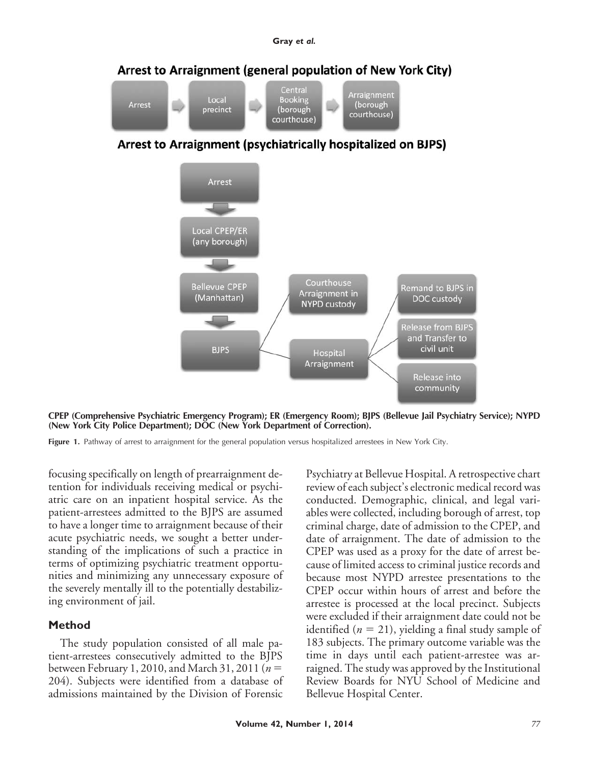

Arrest to Arraignment (psychiatrically hospitalized on BJPS)



**CPEP (Comprehensive Psychiatric Emergency Program); ER (Emergency Room); BJPS (Bellevue Jail Psychiatry Service); NYPD (New York City Police Department); DOC (New York Department of Correction).**

Figure 1. Pathway of arrest to arraignment for the general population versus hospitalized arrestees in New York City.

focusing specifically on length of prearraignment detention for individuals receiving medical or psychiatric care on an inpatient hospital service. As the patient-arrestees admitted to the BJPS are assumed to have a longer time to arraignment because of their acute psychiatric needs, we sought a better understanding of the implications of such a practice in terms of optimizing psychiatric treatment opportunities and minimizing any unnecessary exposure of the severely mentally ill to the potentially destabilizing environment of jail.

## **Method**

The study population consisted of all male patient-arrestees consecutively admitted to the BJPS between February 1, 2010, and March 31, 2011 ( $n =$ 204). Subjects were identified from a database of admissions maintained by the Division of Forensic Psychiatry at Bellevue Hospital. A retrospective chart review of each subject's electronic medical record was conducted. Demographic, clinical, and legal variables were collected, including borough of arrest, top criminal charge, date of admission to the CPEP, and date of arraignment. The date of admission to the CPEP was used as a proxy for the date of arrest because of limited access to criminal justice records and because most NYPD arrestee presentations to the CPEP occur within hours of arrest and before the arrestee is processed at the local precinct. Subjects were excluded if their arraignment date could not be identified  $(n = 21)$ , yielding a final study sample of 183 subjects. The primary outcome variable was the time in days until each patient-arrestee was arraigned. The study was approved by the Institutional Review Boards for NYU School of Medicine and Bellevue Hospital Center.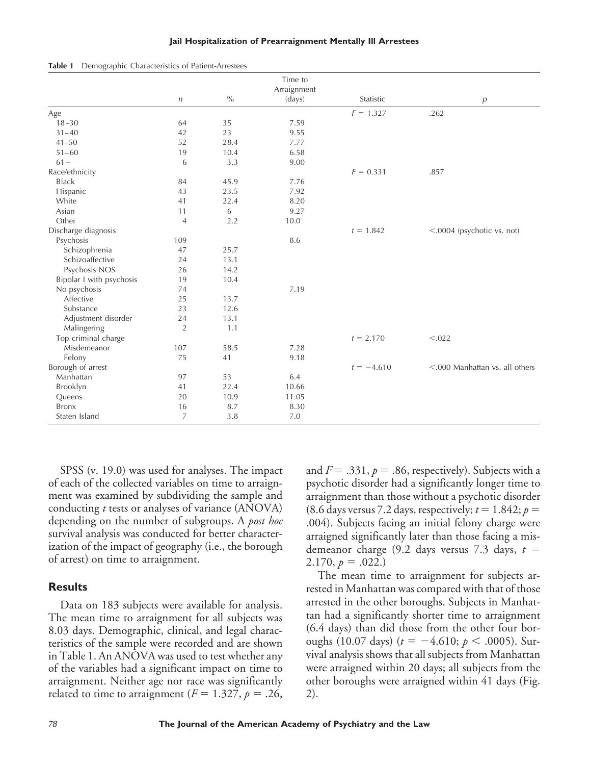#### **Jail Hospitalization of Prearraignment Mentally Ill Arrestees**

| Table 1 |  |  |  | Demographic Characteristics of Patient-Arrestees |
|---------|--|--|--|--------------------------------------------------|
|---------|--|--|--|--------------------------------------------------|

|                          |                |      | Time to     |              |                                   |
|--------------------------|----------------|------|-------------|--------------|-----------------------------------|
|                          |                |      | Arraignment |              |                                   |
|                          | $\sqrt{n}$     | $\%$ | (days)      | Statistic    | $\overline{p}$                    |
| Age                      |                |      |             | $F = 1.327$  | .262                              |
| $18 - 30$                | 64             | 35   | 7.59        |              |                                   |
| $31 - 40$                | 42             | 23   | 9.55        |              |                                   |
| $41 - 50$                | 52             | 28.4 | 7.77        |              |                                   |
| $51 - 60$                | 19             | 10.4 | 6.58        |              |                                   |
| $61 +$                   | 6              | 3.3  | 9.00        |              |                                   |
| Race/ethnicity           |                |      |             | $F = 0.331$  | .857                              |
| <b>Black</b>             | 84             | 45.9 | 7.76        |              |                                   |
| Hispanic                 | 43             | 23.5 | 7.92        |              |                                   |
| White                    | 41             | 22.4 | 8.20        |              |                                   |
| Asian                    | 11             | 6    | 9.27        |              |                                   |
| Other                    | $\overline{4}$ | 2.2  | 10.0        |              |                                   |
| Discharge diagnosis      |                |      |             | $t = 1.842$  | <.0004 (psychotic vs. not)        |
| Psychosis                | 109            |      | 8.6         |              |                                   |
| Schizophrenia            | 47             | 25.7 |             |              |                                   |
| Schizoaffective          | 24             | 13.1 |             |              |                                   |
| Psychosis NOS            | 26             | 14.2 |             |              |                                   |
| Bipolar I with psychosis | 19             | 10.4 |             |              |                                   |
| No psychosis             | 74             |      | 7.19        |              |                                   |
| Affective                | 25             | 13.7 |             |              |                                   |
| Substance                | 23             | 12.6 |             |              |                                   |
| Adjustment disorder      | 24             | 13.1 |             |              |                                   |
| Malingering              | $\overline{2}$ | 1.1  |             |              |                                   |
| Top criminal charge      |                |      |             | $t = 2.170$  | < .022                            |
| Misdemeanor              | 107            | 58.5 | 7.28        |              |                                   |
| Felony                   | 75             | 41   | 9.18        |              |                                   |
| Borough of arrest        |                |      |             | $t = -4.610$ | $<$ .000 Manhattan vs. all others |
| Manhattan                | 97             | 53   | 6.4         |              |                                   |
| Brooklyn                 | 41             | 22.4 | 10.66       |              |                                   |
| Queens                   | 20             | 10.9 | 11.05       |              |                                   |
| <b>Bronx</b>             | 16             | 8.7  | 8.30        |              |                                   |
| Staten Island            | $\overline{7}$ | 3.8  | 7.0         |              |                                   |

SPSS (v. 19.0) was used for analyses. The impact of each of the collected variables on time to arraignment was examined by subdividing the sample and conducting *t* tests or analyses of variance (ANOVA) depending on the number of subgroups. A *post hoc* survival analysis was conducted for better characterization of the impact of geography (i.e., the borough of arrest) on time to arraignment.

### **Results**

Data on 183 subjects were available for analysis. The mean time to arraignment for all subjects was 8.03 days. Demographic, clinical, and legal characteristics of the sample were recorded and are shown in Table 1. An ANOVA was used to test whether any of the variables had a significant impact on time to arraignment. Neither age nor race was significantly related to time to arraignment ( $F = 1.327$ ,  $p = .26$ ,

and  $F = .331, p = .86$ , respectively). Subjects with a psychotic disorder had a significantly longer time to arraignment than those without a psychotic disorder (8.6 days versus 7.2 days, respectively;  $t = 1.842$ ;  $p =$ .004). Subjects facing an initial felony charge were arraigned significantly later than those facing a misdemeanor charge (9.2 days versus 7.3 days,  $t =$  $2.170, p = .022.$ 

The mean time to arraignment for subjects arrested in Manhattan was compared with that of those arrested in the other boroughs. Subjects in Manhattan had a significantly shorter time to arraignment (6.4 days) than did those from the other four boroughs (10.07 days)  $(t = -4.610; p < .0005)$ . Survival analysis shows that all subjects from Manhattan were arraigned within 20 days; all subjects from the other boroughs were arraigned within 41 days (Fig. 2).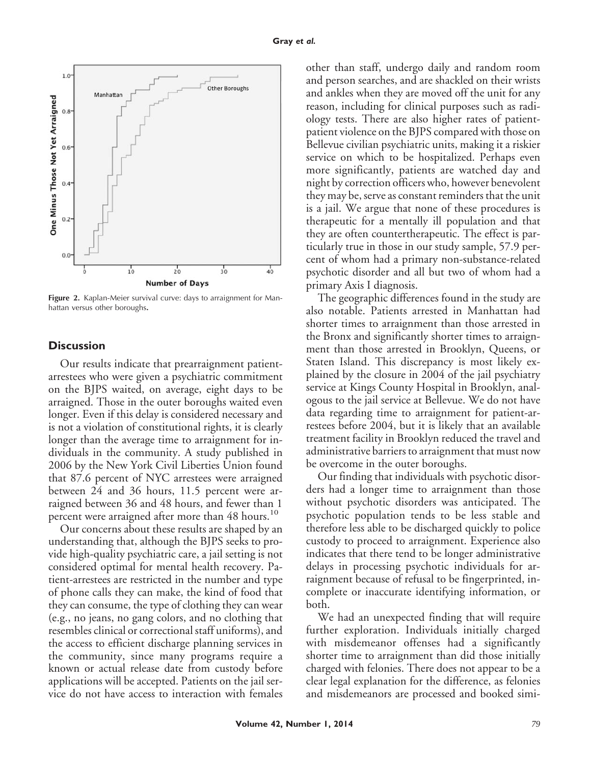

Figure 2. Kaplan-Meier survival curve: days to arraignment for Manhattan versus other boroughs**.**

### **Discussion**

Our results indicate that prearraignment patientarrestees who were given a psychiatric commitment on the BJPS waited, on average, eight days to be arraigned. Those in the outer boroughs waited even longer. Even if this delay is considered necessary and is not a violation of constitutional rights, it is clearly longer than the average time to arraignment for individuals in the community. A study published in 2006 by the New York Civil Liberties Union found that 87.6 percent of NYC arrestees were arraigned between 24 and 36 hours, 11.5 percent were arraigned between 36 and 48 hours, and fewer than 1 percent were arraigned after more than 48 hours.<sup>10</sup>

Our concerns about these results are shaped by an understanding that, although the BJPS seeks to provide high-quality psychiatric care, a jail setting is not considered optimal for mental health recovery. Patient-arrestees are restricted in the number and type of phone calls they can make, the kind of food that they can consume, the type of clothing they can wear (e.g., no jeans, no gang colors, and no clothing that resembles clinical or correctional staff uniforms), and the access to efficient discharge planning services in the community, since many programs require a known or actual release date from custody before applications will be accepted. Patients on the jail service do not have access to interaction with females other than staff, undergo daily and random room and person searches, and are shackled on their wrists and ankles when they are moved off the unit for any reason, including for clinical purposes such as radiology tests. There are also higher rates of patientpatient violence on the BJPS compared with those on Bellevue civilian psychiatric units, making it a riskier service on which to be hospitalized. Perhaps even more significantly, patients are watched day and night by correction officers who, however benevolent they may be, serve as constant reminders that the unit is a jail. We argue that none of these procedures is therapeutic for a mentally ill population and that they are often countertherapeutic. The effect is particularly true in those in our study sample, 57.9 percent of whom had a primary non-substance-related psychotic disorder and all but two of whom had a primary Axis I diagnosis.

The geographic differences found in the study are also notable. Patients arrested in Manhattan had shorter times to arraignment than those arrested in the Bronx and significantly shorter times to arraignment than those arrested in Brooklyn, Queens, or Staten Island. This discrepancy is most likely explained by the closure in 2004 of the jail psychiatry service at Kings County Hospital in Brooklyn, analogous to the jail service at Bellevue. We do not have data regarding time to arraignment for patient-arrestees before 2004, but it is likely that an available treatment facility in Brooklyn reduced the travel and administrative barriers to arraignment that must now be overcome in the outer boroughs.

Our finding that individuals with psychotic disorders had a longer time to arraignment than those without psychotic disorders was anticipated. The psychotic population tends to be less stable and therefore less able to be discharged quickly to police custody to proceed to arraignment. Experience also indicates that there tend to be longer administrative delays in processing psychotic individuals for arraignment because of refusal to be fingerprinted, incomplete or inaccurate identifying information, or both.

We had an unexpected finding that will require further exploration. Individuals initially charged with misdemeanor offenses had a significantly shorter time to arraignment than did those initially charged with felonies. There does not appear to be a clear legal explanation for the difference, as felonies and misdemeanors are processed and booked simi